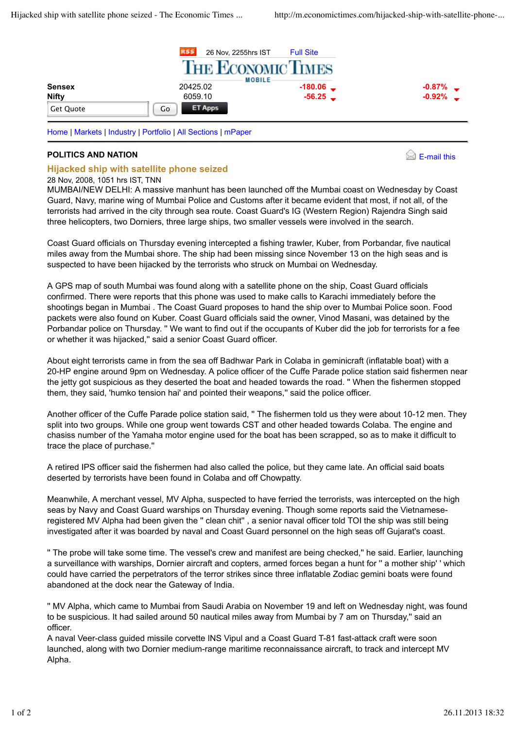

## **POLITICS AND NATION**



## **Hijacked ship with satellite phone seized**

## 28 Nov, 2008, 1051 hrs IST, TNN

MUMBAI/NEW DELHI: A massive manhunt has been launched off the Mumbai coast on Wednesday by Coast Guard, Navy, marine wing of Mumbai Police and Customs after it became evident that most, if not all, of the terrorists had arrived in the city through sea route. Coast Guard's IG (Western Region) Rajendra Singh said three helicopters, two Dorniers, three large ships, two smaller vessels were involved in the search.

Coast Guard officials on Thursday evening intercepted a fishing trawler, Kuber, from Porbandar, five nautical miles away from the Mumbai shore. The ship had been missing since November 13 on the high seas and is suspected to have been hijacked by the terrorists who struck on Mumbai on Wednesday.

A GPS map of south Mumbai was found along with a satellite phone on the ship, Coast Guard officials confirmed. There were reports that this phone was used to make calls to Karachi immediately before the shootings began in Mumbai . The Coast Guard proposes to hand the ship over to Mumbai Police soon. Food packets were also found on Kuber. Coast Guard officials said the owner, Vinod Masani, was detained by the Porbandar police on Thursday. '' We want to find out if the occupants of Kuber did the job for terrorists for a fee or whether it was hijacked,'' said a senior Coast Guard officer.

About eight terrorists came in from the sea off Badhwar Park in Colaba in geminicraft (inflatable boat) with a 20-HP engine around 9pm on Wednesday. A police officer of the Cuffe Parade police station said fishermen near the jetty got suspicious as they deserted the boat and headed towards the road. '' When the fishermen stopped them, they said, 'humko tension hai' and pointed their weapons,'' said the police officer.

Another officer of the Cuffe Parade police station said, '' The fishermen told us they were about 10-12 men. They split into two groups. While one group went towards CST and other headed towards Colaba. The engine and chasiss number of the Yamaha motor engine used for the boat has been scrapped, so as to make it difficult to trace the place of purchase.''

A retired IPS officer said the fishermen had also called the police, but they came late. An official said boats deserted by terrorists have been found in Colaba and off Chowpatty.

Meanwhile, A merchant vessel, MV Alpha, suspected to have ferried the terrorists, was intercepted on the high seas by Navy and Coast Guard warships on Thursday evening. Though some reports said the Vietnameseregistered MV Alpha had been given the '' clean chit'' , a senior naval officer told TOI the ship was still being investigated after it was boarded by naval and Coast Guard personnel on the high seas off Gujarat's coast.

'' The probe will take some time. The vessel's crew and manifest are being checked,'' he said. Earlier, launching a surveillance with warships, Dornier aircraft and copters, armed forces began a hunt for '' a mother ship' ' which could have carried the perpetrators of the terror strikes since three inflatable Zodiac gemini boats were found abandoned at the dock near the Gateway of India.

'' MV Alpha, which came to Mumbai from Saudi Arabia on November 19 and left on Wednesday night, was found to be suspicious. It had sailed around 50 nautical miles away from Mumbai by 7 am on Thursday,'' said an officer.

A naval Veer-class guided missile corvette INS Vipul and a Coast Guard T-81 fast-attack craft were soon launched, along with two Dornier medium-range maritime reconnaissance aircraft, to track and intercept MV Alpha.